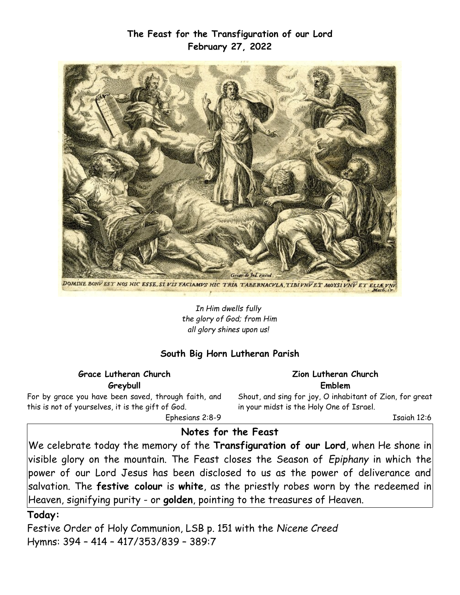# **The Feast for the Transfiguration of our Lord February 27, 2022**



DOMINE BONY EST NOS HIC ESSE, SI VIS FACIAMYS HIC TRIA TABERNACVLA, TIBI VNÝ ET MOYSI VNÝ ET ELIÆVNÝ

*In Him dwells fully the glory of God; from Him all glory shines upon us!* 

### **South Big Horn Lutheran Parish**

#### **Grace Lutheran Church Greybull**

For by grace you have been saved, through faith, and this is not of yourselves, it is the gift of God.

**Zion Lutheran Church Emblem**

Shout, and sing for joy, O inhabitant of Zion, for great in your midst is the Holy One of Israel.

Isaiah 12:6

Ephesians 2:8-9

### **Notes for the Feast**

We celebrate today the memory of the **Transfiguration of our Lord**, when He shone in visible glory on the mountain. The Feast closes the Season of *Epiphany* in which the power of our Lord Jesus has been disclosed to us as the power of deliverance and salvation. The **festive colour** is **white**, as the priestly robes worn by the redeemed in Heaven, signifying purity - or **golden**, pointing to the treasures of Heaven.

#### **Today:**

Festive Order of Holy Communion, LSB p. 151 with the *Nicene Creed* Hymns: 394 – 414 – 417/353/839 – 389:7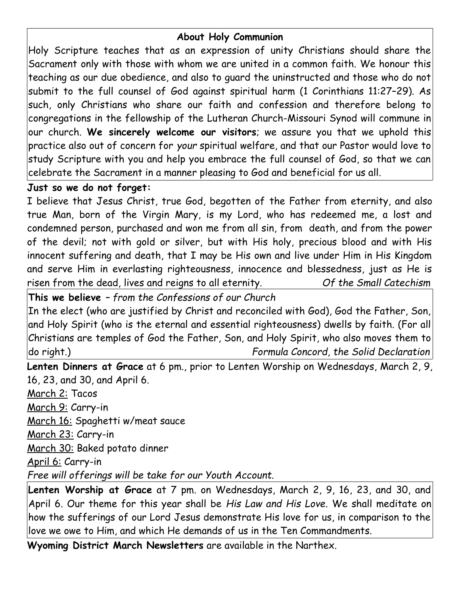# **About Holy Communion**

Holy Scripture teaches that as an expression of unity Christians should share the Sacrament only with those with whom we are united in a common faith. We honour this teaching as our due obedience, and also to guard the uninstructed and those who do not submit to the full counsel of God against spiritual harm (1 Corinthians 11:27–29). As such, only Christians who share our faith and confession and therefore belong to congregations in the fellowship of the Lutheran Church-Missouri Synod will commune in our church. **We sincerely welcome our visitors**; we assure you that we uphold this practice also out of concern for *your* spiritual welfare, and that our Pastor would love to study Scripture with you and help you embrace the full counsel of God, so that we can celebrate the Sacrament in a manner pleasing to God and beneficial for us all.

## **Just so we do not forget:**

I believe that Jesus Christ, true God, begotten of the Father from eternity, and also true Man, born of the Virgin Mary, is my Lord, who has redeemed me, a lost and condemned person, purchased and won me from all sin, from death, and from the power of the devil; not with gold or silver, but with His holy, precious blood and with His innocent suffering and death, that I may be His own and live under Him in His Kingdom and serve Him in everlasting righteousness, innocence and blessedness, just as He is risen from the dead, lives and reigns to all eternity. *Of the Small Catechism*

**This we believe** *– from the Confessions of our Church*

In the elect (who are justified by Christ and reconciled with God), God the Father, Son, and Holy Spirit (who is the eternal and essential righteousness) dwells by faith. (For all Christians are temples of God the Father, Son, and Holy Spirit, who also moves them to do right.) *Formula Concord, the Solid Declaration*

**Lenten Dinners at Grace** at 6 pm., prior to Lenten Worship on Wednesdays, March 2, 9, 16, 23, and 30, and April 6.

March 2: Tacos

March 9: Carry-in

March 16: Spaghetti w/meat sauce

March 23: Carry-in

March 30: Baked potato dinner

April 6: Carry-in

*Free will offerings will be take for our Youth Account.*

**Lenten Worship at Grace** at 7 pm. on Wednesdays, March 2, 9, 16, 23, and 30, and April 6. Our theme for this year shall be *His Law and His Love.* We shall meditate on how the sufferings of our Lord Jesus demonstrate His love for us, in comparison to the love we owe to Him, and which He demands of us in the Ten Commandments.

**Wyoming District March Newsletters** are available in the Narthex.